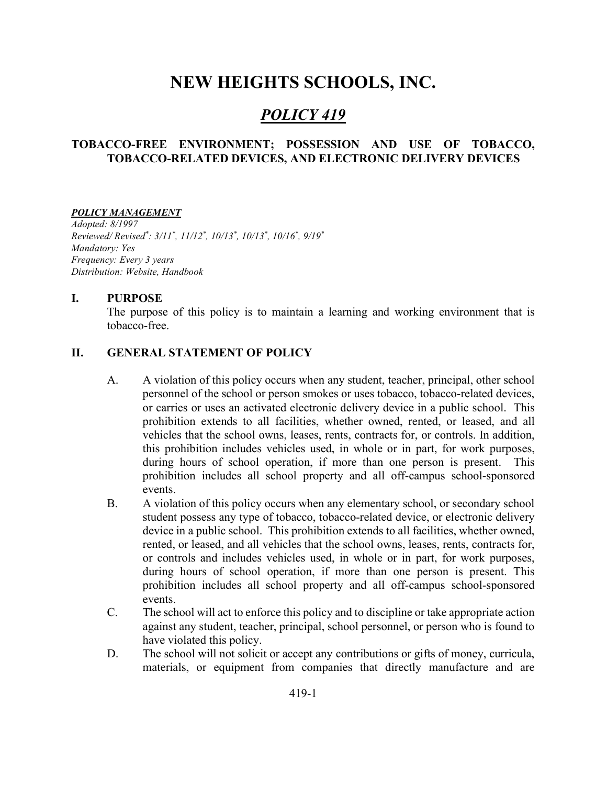# NEW HEIGHTS SCHOOLS, INC.

## POLICY 419

#### TOBACCO-FREE ENVIRONMENT; POSSESSION AND USE OF TOBACCO, TOBACCO-RELATED DEVICES, AND ELECTRONIC DELIVERY DEVICES

#### POLICY MANAGEMENT

Adopted: 8/1997 Reviewed/Revised\*: 3/11\*, 11/12\*, 10/13\*, 10/13\*, 10/16\*, 9/19\* Mandatory: Yes Frequency: Every 3 years Distribution: Website, Handbook

#### I. PURPOSE

The purpose of this policy is to maintain a learning and working environment that is tobacco-free.

#### II. GENERAL STATEMENT OF POLICY

- A. A violation of this policy occurs when any student, teacher, principal, other school personnel of the school or person smokes or uses tobacco, tobacco-related devices, or carries or uses an activated electronic delivery device in a public school. This prohibition extends to all facilities, whether owned, rented, or leased, and all vehicles that the school owns, leases, rents, contracts for, or controls. In addition, this prohibition includes vehicles used, in whole or in part, for work purposes, during hours of school operation, if more than one person is present. This prohibition includes all school property and all off-campus school-sponsored events.
- B. A violation of this policy occurs when any elementary school, or secondary school student possess any type of tobacco, tobacco-related device, or electronic delivery device in a public school. This prohibition extends to all facilities, whether owned, rented, or leased, and all vehicles that the school owns, leases, rents, contracts for, or controls and includes vehicles used, in whole or in part, for work purposes, during hours of school operation, if more than one person is present. This prohibition includes all school property and all off-campus school-sponsored events.
- C. The school will act to enforce this policy and to discipline or take appropriate action against any student, teacher, principal, school personnel, or person who is found to have violated this policy.
- D. The school will not solicit or accept any contributions or gifts of money, curricula, materials, or equipment from companies that directly manufacture and are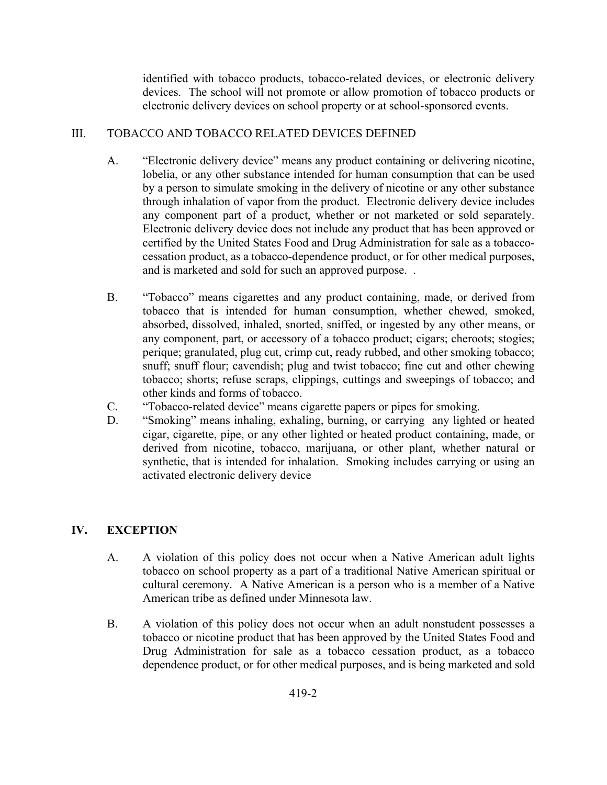identified with tobacco products, tobacco-related devices, or electronic delivery devices. The school will not promote or allow promotion of tobacco products or electronic delivery devices on school property or at school-sponsored events.

## III. TOBACCO AND TOBACCO RELATED DEVICES DEFINED

- A. "Electronic delivery device" means any product containing or delivering nicotine, lobelia, or any other substance intended for human consumption that can be used by a person to simulate smoking in the delivery of nicotine or any other substance through inhalation of vapor from the product. Electronic delivery device includes any component part of a product, whether or not marketed or sold separately. Electronic delivery device does not include any product that has been approved or certified by the United States Food and Drug Administration for sale as a tobaccocessation product, as a tobacco-dependence product, or for other medical purposes, and is marketed and sold for such an approved purpose. .
- B. "Tobacco" means cigarettes and any product containing, made, or derived from tobacco that is intended for human consumption, whether chewed, smoked, absorbed, dissolved, inhaled, snorted, sniffed, or ingested by any other means, or any component, part, or accessory of a tobacco product; cigars; cheroots; stogies; perique; granulated, plug cut, crimp cut, ready rubbed, and other smoking tobacco; snuff; snuff flour; cavendish; plug and twist tobacco; fine cut and other chewing tobacco; shorts; refuse scraps, clippings, cuttings and sweepings of tobacco; and other kinds and forms of tobacco.
- C. "Tobacco-related device" means cigarette papers or pipes for smoking.
- D. "Smoking" means inhaling, exhaling, burning, or carrying any lighted or heated cigar, cigarette, pipe, or any other lighted or heated product containing, made, or derived from nicotine, tobacco, marijuana, or other plant, whether natural or synthetic, that is intended for inhalation. Smoking includes carrying or using an activated electronic delivery device

## IV. EXCEPTION

- A. A violation of this policy does not occur when a Native American adult lights tobacco on school property as a part of a traditional Native American spiritual or cultural ceremony. A Native American is a person who is a member of a Native American tribe as defined under Minnesota law.
- B. A violation of this policy does not occur when an adult nonstudent possesses a tobacco or nicotine product that has been approved by the United States Food and Drug Administration for sale as a tobacco cessation product, as a tobacco dependence product, or for other medical purposes, and is being marketed and sold